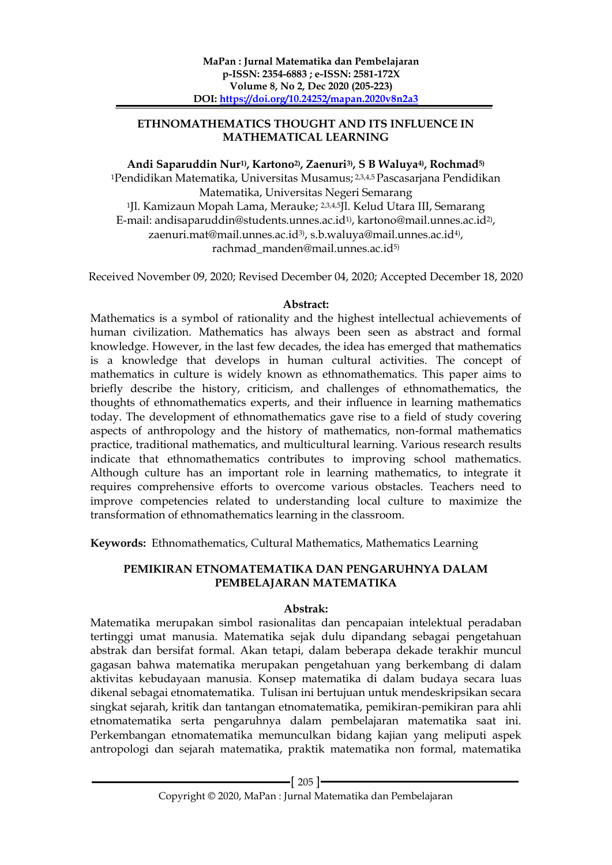### **ETHNOMATHEMATICS THOUGHT AND ITS INFLUENCE IN MATHEMATICAL LEARNING**

# **Andi Saparuddin Nur1), Kartono2) , Zaenuri3) , S B Waluya4) , Rochmad5)**

<sup>1</sup>Pendidikan Matematika, Universitas Musamus; <sup>2,3,4,5</sup> Pascasarjana Pendidikan Matematika, Universitas Negeri Semarang <sup>1</sup>Jl. Kamizaun Mopah Lama, Merauke; 23,4,5Jl. Kelud Utara III, Semarang E-mail: andisaparuddin@students.unnes.ac.id<sup>1)</sup>, kartono@mail.unnes.ac.id<sup>2)</sup>, zaenuri.mat@mail.unnes.ac.id<sup>3)</sup>, s.b.waluya@mail.unnes.ac.id<sup>4)</sup>, rachmad\_manden@mail.unnes.ac.id5)

Received November 09, 2020; Revised December 04, 2020; Accepted December 18, 2020

#### **Abstract:**

Mathematics is a symbol of rationality and the highest intellectual achievements of human civilization. Mathematics has always been seen as abstract and formal knowledge. However, in the last few decades, the idea has emerged that mathematics is a knowledge that develops in human cultural activities. The concept of mathematics in culture is widely known as ethnomathematics. This paper aims to briefly describe the history, criticism, and challenges of ethnomathematics, the thoughts of ethnomathematics experts, and their influence in learning mathematics today. The development of ethnomathematics gave rise to a field of study covering aspects of anthropology and the history of mathematics, non-formal mathematics practice, traditional mathematics, and multicultural learning. Various research results indicate that ethnomathematics contributes to improving school mathematics. Although culture has an important role in learning mathematics, to integrate it requires comprehensive efforts to overcome various obstacles. Teachers need to improve competencies related to understanding local culture to maximize the transformation of ethnomathematics learning in the classroom.

**Keywords:** Ethnomathematics, Cultural Mathematics, Mathematics Learning

### **PEMIKIRAN ETNOMATEMATIKA DAN PENGARUHNYA DALAM PEMBELAJARAN MATEMATIKA**

#### **Abstrak:**

Matematika merupakan simbol rasionalitas dan pencapaian intelektual peradaban tertinggi umat manusia. Matematika sejak dulu dipandang sebagai pengetahuan abstrak dan bersifat formal. Akan tetapi, dalam beberapa dekade terakhir muncul gagasan bahwa matematika merupakan pengetahuan yang berkembang di dalam aktivitas kebudayaan manusia. Konsep matematika di dalam budaya secara luas dikenal sebagai etnomatematika. Tulisan ini bertujuan untuk mendeskripsikan secara singkat sejarah, kritik dan tantangan etnomatematika, pemikiran-pemikiran para ahli etnomatematika serta pengaruhnya dalam pembelajaran matematika saat ini. Perkembangan etnomatematika memunculkan bidang kajian yang meliputi aspek antropologi dan sejarah matematika, praktik matematika non formal, matematika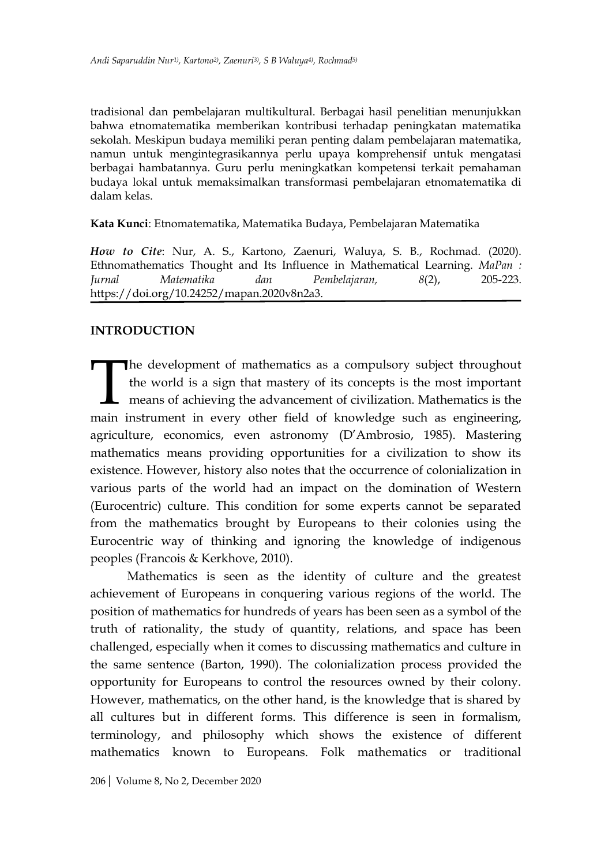tradisional dan pembelajaran multikultural. Berbagai hasil penelitian menunjukkan bahwa etnomatematika memberikan kontribusi terhadap peningkatan matematika sekolah. Meskipun budaya memiliki peran penting dalam pembelajaran matematika, namun untuk mengintegrasikannya perlu upaya komprehensif untuk mengatasi berbagai hambatannya. Guru perlu meningkatkan kompetensi terkait pemahaman budaya lokal untuk memaksimalkan transformasi pembelajaran etnomatematika di dalam kelas.

**Kata Kunci**: Etnomatematika, Matematika Budaya, Pembelajaran Matematika

*How to Cite*: Nur, A. S., Kartono, Zaenuri, Waluya, S. B., Rochmad. (2020). Ethnomathematics Thought and Its Influence in Mathematical Learning. *MaPan : Jurnal Matematika dan Pembelajaran, 8*(2), 205-223. https://doi.org/10.24252/mapan.2020v8n2a3.

# **INTRODUCTION**

The development of mathematics as a compulsory subject throughout the world is a sign that mastery of its concepts is the most important means of achieving the advancement of civilization. Mathematics is the main instrument in every other field of knowledge such as engineering, agriculture, economics, even astronomy (D'Ambrosio, 1985). Mastering mathematics means providing opportunities for a civilization to show its existence. However, history also notes that the occurrence of colonialization in various parts of the world had an impact on the domination of Western (Eurocentric) culture. This condition for some experts cannot be separated from the mathematics brought by Europeans to their colonies using the Eurocentric way of thinking and ignoring the knowledge of indigenous peoples (Francois & Kerkhove, 2010).  $\begin{bmatrix} 1 \\ 1 \end{bmatrix}$ 

Mathematics is seen as the identity of culture and the greatest achievement of Europeans in conquering various regions of the world. The position of mathematics for hundreds of years has been seen as a symbol of the truth of rationality, the study of quantity, relations, and space has been challenged, especially when it comes to discussing mathematics and culture in the same sentence (Barton, 1990). The colonialization process provided the opportunity for Europeans to control the resources owned by their colony. However, mathematics, on the other hand, is the knowledge that is shared by all cultures but in different forms. This difference is seen in formalism, terminology, and philosophy which shows the existence of different mathematics known to Europeans. Folk mathematics or traditional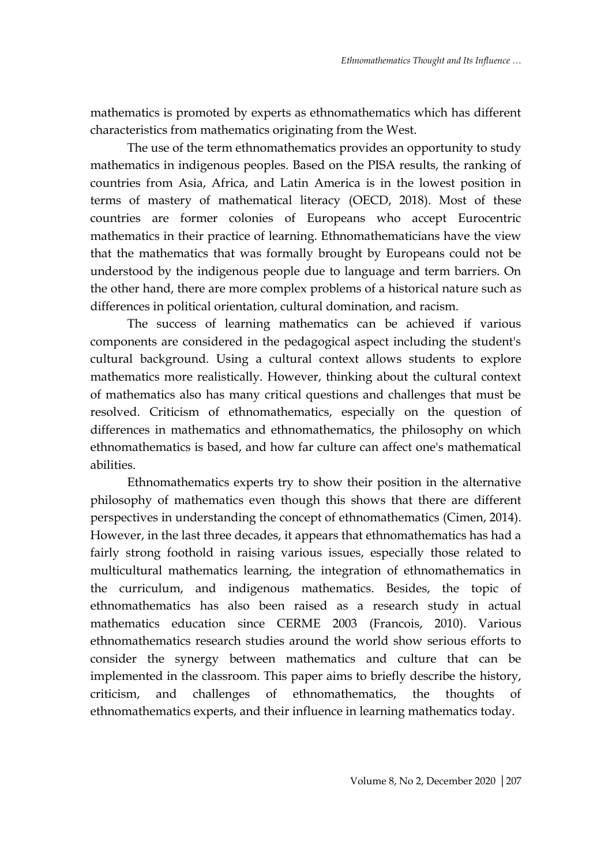mathematics is promoted by experts as ethnomathematics which has different characteristics from mathematics originating from the West.

The use of the term ethnomathematics provides an opportunity to study mathematics in indigenous peoples. Based on the PISA results, the ranking of countries from Asia, Africa, and Latin America is in the lowest position in terms of mastery of mathematical literacy (OECD, 2018). Most of these countries are former colonies of Europeans who accept Eurocentric mathematics in their practice of learning. Ethnomathematicians have the view that the mathematics that was formally brought by Europeans could not be understood by the indigenous people due to language and term barriers. On the other hand, there are more complex problems of a historical nature such as differences in political orientation, cultural domination, and racism.

The success of learning mathematics can be achieved if various components are considered in the pedagogical aspect including the student's cultural background. Using a cultural context allows students to explore mathematics more realistically. However, thinking about the cultural context of mathematics also has many critical questions and challenges that must be resolved. Criticism of ethnomathematics, especially on the question of differences in mathematics and ethnomathematics, the philosophy on which ethnomathematics is based, and how far culture can affect one's mathematical abilities.

Ethnomathematics experts try to show their position in the alternative philosophy of mathematics even though this shows that there are different perspectives in understanding the concept of ethnomathematics (Cimen, 2014). However, in the last three decades, it appears that ethnomathematics has had a fairly strong foothold in raising various issues, especially those related to multicultural mathematics learning, the integration of ethnomathematics in the curriculum, and indigenous mathematics. Besides, the topic of ethnomathematics has also been raised as a research study in actual mathematics education since CERME 2003 (Francois, 2010). Various ethnomathematics research studies around the world show serious efforts to consider the synergy between mathematics and culture that can be implemented in the classroom. This paper aims to briefly describe the history, criticism, and challenges of ethnomathematics, the thoughts of ethnomathematics experts, and their influence in learning mathematics today.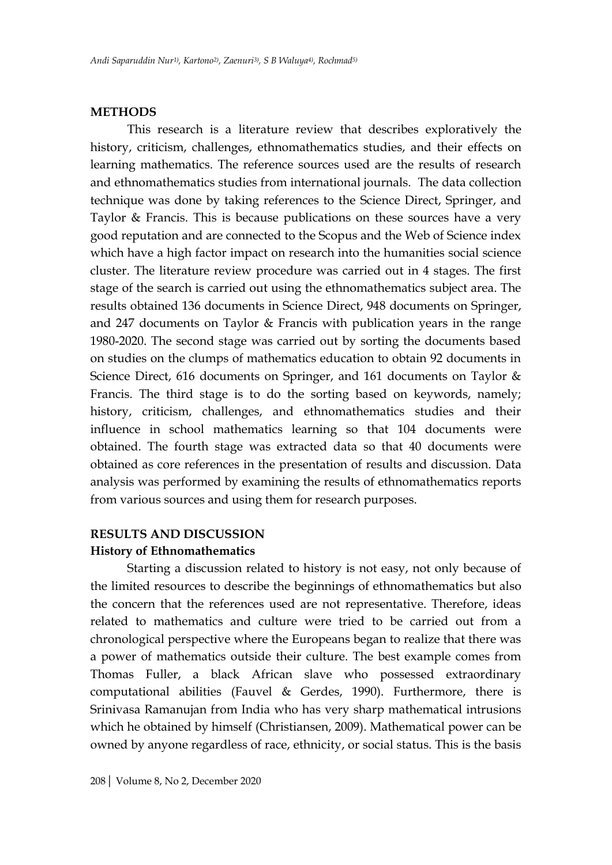#### **METHODS**

This research is a literature review that describes exploratively the history, criticism, challenges, ethnomathematics studies, and their effects on learning mathematics. The reference sources used are the results of research and ethnomathematics studies from international journals. The data collection technique was done by taking references to the Science Direct, Springer, and Taylor & Francis. This is because publications on these sources have a very good reputation and are connected to the Scopus and the Web of Science index which have a high factor impact on research into the humanities social science cluster. The literature review procedure was carried out in 4 stages. The first stage of the search is carried out using the ethnomathematics subject area. The results obtained 136 documents in Science Direct, 948 documents on Springer, and 247 documents on Taylor & Francis with publication years in the range 1980-2020. The second stage was carried out by sorting the documents based on studies on the clumps of mathematics education to obtain 92 documents in Science Direct, 616 documents on Springer, and 161 documents on Taylor & Francis. The third stage is to do the sorting based on keywords, namely; history, criticism, challenges, and ethnomathematics studies and their influence in school mathematics learning so that 104 documents were obtained. The fourth stage was extracted data so that 40 documents were obtained as core references in the presentation of results and discussion. Data analysis was performed by examining the results of ethnomathematics reports from various sources and using them for research purposes.

#### **RESULTS AND DISCUSSION**

#### **History of Ethnomathematics**

Starting a discussion related to history is not easy, not only because of the limited resources to describe the beginnings of ethnomathematics but also the concern that the references used are not representative. Therefore, ideas related to mathematics and culture were tried to be carried out from a chronological perspective where the Europeans began to realize that there was a power of mathematics outside their culture. The best example comes from Thomas Fuller, a black African slave who possessed extraordinary computational abilities (Fauvel & Gerdes, 1990). Furthermore, there is Srinivasa Ramanujan from India who has very sharp mathematical intrusions which he obtained by himself (Christiansen, 2009). Mathematical power can be owned by anyone regardless of race, ethnicity, or social status. This is the basis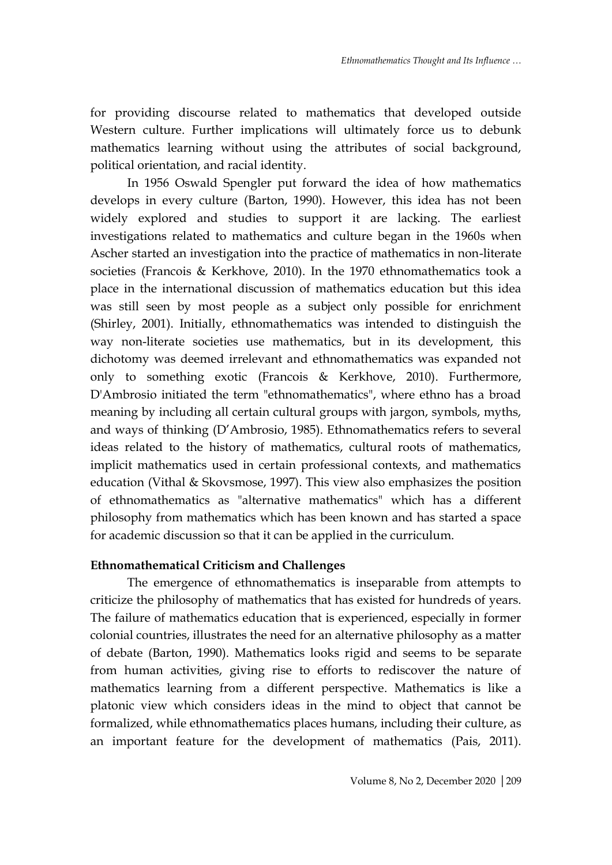for providing discourse related to mathematics that developed outside Western culture. Further implications will ultimately force us to debunk mathematics learning without using the attributes of social background, political orientation, and racial identity.

In 1956 Oswald Spengler put forward the idea of how mathematics develops in every culture (Barton, 1990). However, this idea has not been widely explored and studies to support it are lacking. The earliest investigations related to mathematics and culture began in the 1960s when Ascher started an investigation into the practice of mathematics in non-literate societies (Francois & Kerkhove, 2010). In the 1970 ethnomathematics took a place in the international discussion of mathematics education but this idea was still seen by most people as a subject only possible for enrichment (Shirley, 2001). Initially, ethnomathematics was intended to distinguish the way non-literate societies use mathematics, but in its development, this dichotomy was deemed irrelevant and ethnomathematics was expanded not only to something exotic (Francois & Kerkhove, 2010). Furthermore, D'Ambrosio initiated the term "ethnomathematics", where ethno has a broad meaning by including all certain cultural groups with jargon, symbols, myths, and ways of thinking (D'Ambrosio, 1985). Ethnomathematics refers to several ideas related to the history of mathematics, cultural roots of mathematics, implicit mathematics used in certain professional contexts, and mathematics education (Vithal & Skovsmose, 1997). This view also emphasizes the position of ethnomathematics as "alternative mathematics" which has a different philosophy from mathematics which has been known and has started a space for academic discussion so that it can be applied in the curriculum.

#### **Ethnomathematical Criticism and Challenges**

The emergence of ethnomathematics is inseparable from attempts to criticize the philosophy of mathematics that has existed for hundreds of years. The failure of mathematics education that is experienced, especially in former colonial countries, illustrates the need for an alternative philosophy as a matter of debate (Barton, 1990). Mathematics looks rigid and seems to be separate from human activities, giving rise to efforts to rediscover the nature of mathematics learning from a different perspective. Mathematics is like a platonic view which considers ideas in the mind to object that cannot be formalized, while ethnomathematics places humans, including their culture, as an important feature for the development of mathematics (Pais, 2011).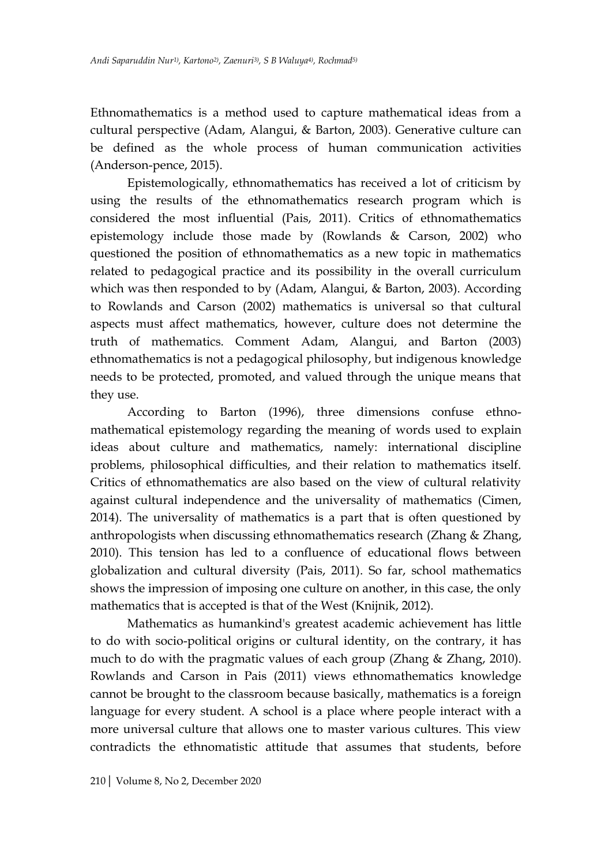Ethnomathematics is a method used to capture mathematical ideas from a cultural perspective (Adam, Alangui, & Barton, 2003). Generative culture can be defined as the whole process of human communication activities (Anderson-pence, 2015).

Epistemologically, ethnomathematics has received a lot of criticism by using the results of the ethnomathematics research program which is considered the most influential (Pais, 2011). Critics of ethnomathematics epistemology include those made by (Rowlands & Carson, 2002) who questioned the position of ethnomathematics as a new topic in mathematics related to pedagogical practice and its possibility in the overall curriculum which was then responded to by (Adam, Alangui, & Barton, 2003). According to Rowlands and Carson (2002) mathematics is universal so that cultural aspects must affect mathematics, however, culture does not determine the truth of mathematics. Comment Adam, Alangui, and Barton (2003) ethnomathematics is not a pedagogical philosophy, but indigenous knowledge needs to be protected, promoted, and valued through the unique means that they use.

According to Barton (1996), three dimensions confuse ethnomathematical epistemology regarding the meaning of words used to explain ideas about culture and mathematics, namely: international discipline problems, philosophical difficulties, and their relation to mathematics itself. Critics of ethnomathematics are also based on the view of cultural relativity against cultural independence and the universality of mathematics (Cimen, 2014). The universality of mathematics is a part that is often questioned by anthropologists when discussing ethnomathematics research (Zhang  $\&$  Zhang, 2010). This tension has led to a confluence of educational flows between globalization and cultural diversity (Pais, 2011). So far, school mathematics shows the impression of imposing one culture on another, in this case, the only mathematics that is accepted is that of the West (Knijnik, 2012).

Mathematics as humankind's greatest academic achievement has little to do with socio-political origins or cultural identity, on the contrary, it has much to do with the pragmatic values of each group (Zhang & Zhang, 2010). Rowlands and Carson in Pais (2011) views ethnomathematics knowledge cannot be brought to the classroom because basically, mathematics is a foreign language for every student. A school is a place where people interact with a more universal culture that allows one to master various cultures. This view contradicts the ethnomatistic attitude that assumes that students, before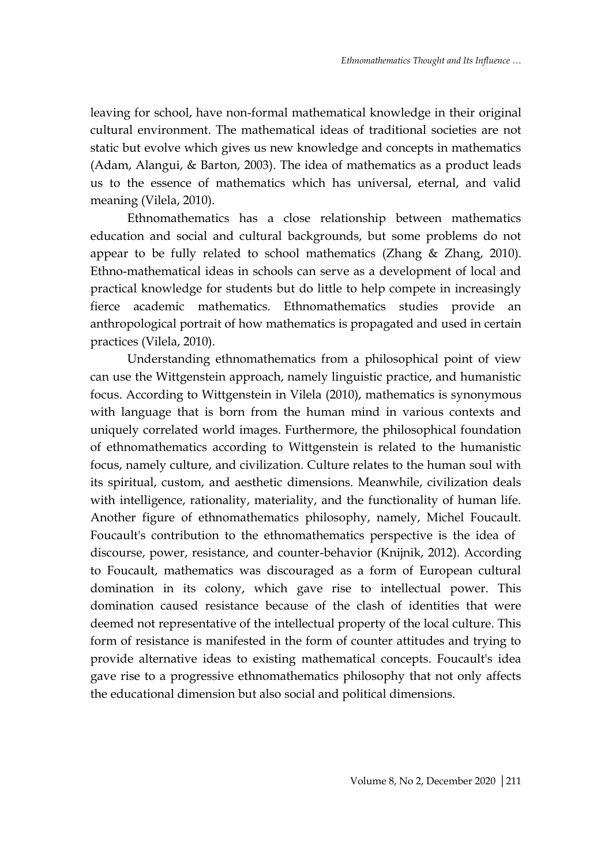leaving for school, have non-formal mathematical knowledge in their original cultural environment. The mathematical ideas of traditional societies are not static but evolve which gives us new knowledge and concepts in mathematics (Adam, Alangui, & Barton, 2003). The idea of mathematics as a product leads us to the essence of mathematics which has universal, eternal, and valid meaning (Vilela, 2010).

Ethnomathematics has a close relationship between mathematics education and social and cultural backgrounds, but some problems do not appear to be fully related to school mathematics (Zhang & Zhang, 2010). Ethno-mathematical ideas in schools can serve as a development of local and practical knowledge for students but do little to help compete in increasingly fierce academic mathematics. Ethnomathematics studies provide an anthropological portrait of how mathematics is propagated and used in certain practices (Vilela, 2010).

Understanding ethnomathematics from a philosophical point of view can use the Wittgenstein approach, namely linguistic practice, and humanistic focus. According to Wittgenstein in Vilela (2010), mathematics is synonymous with language that is born from the human mind in various contexts and uniquely correlated world images. Furthermore, the philosophical foundation of ethnomathematics according to Wittgenstein is related to the humanistic focus, namely culture, and civilization. Culture relates to the human soul with its spiritual, custom, and aesthetic dimensions. Meanwhile, civilization deals with intelligence, rationality, materiality, and the functionality of human life. Another figure of ethnomathematics philosophy, namely, Michel Foucault. Foucault's contribution to the ethnomathematics perspective is the idea of discourse, power, resistance, and counter-behavior (Knijnik, 2012). According to Foucault, mathematics was discouraged as a form of European cultural domination in its colony, which gave rise to intellectual power. This domination caused resistance because of the clash of identities that were deemed not representative of the intellectual property of the local culture. This form of resistance is manifested in the form of counter attitudes and trying to provide alternative ideas to existing mathematical concepts. Foucault's idea gave rise to a progressive ethnomathematics philosophy that not only affects the educational dimension but also social and political dimensions.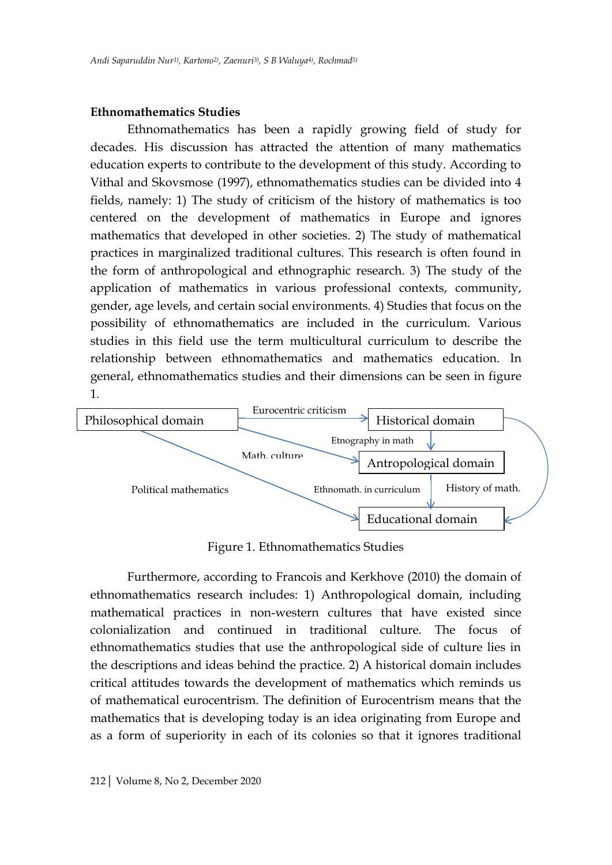#### **Ethnomathematics Studies**

Ethnomathematics has been a rapidly growing field of study for decades. His discussion has attracted the attention of many mathematics education experts to contribute to the development of this study. According to Vithal and Skovsmose (1997), ethnomathematics studies can be divided into 4 fields, namely: 1) The study of criticism of the history of mathematics is too centered on the development of mathematics in Europe and ignores mathematics that developed in other societies. 2) The study of mathematical practices in marginalized traditional cultures. This research is often found in the form of anthropological and ethnographic research. 3) The study of the application of mathematics in various professional contexts, community, gender, age levels, and certain social environments. 4) Studies that focus on the possibility of ethnomathematics are included in the curriculum. Various studies in this field use the term multicultural curriculum to describe the relationship between ethnomathematics and mathematics education. In general, ethnomathematics studies and their dimensions can be seen in figure 1.



Figure 1. Ethnomathematics Studies

Furthermore, according to Francois and Kerkhove (2010) the domain of ethnomathematics research includes: 1) Anthropological domain, including mathematical practices in non-western cultures that have existed since colonialization and continued in traditional culture. The focus of ethnomathematics studies that use the anthropological side of culture lies in the descriptions and ideas behind the practice. 2) A historical domain includes critical attitudes towards the development of mathematics which reminds us of mathematical eurocentrism. The definition of Eurocentrism means that the mathematics that is developing today is an idea originating from Europe and as a form of superiority in each of its colonies so that it ignores traditional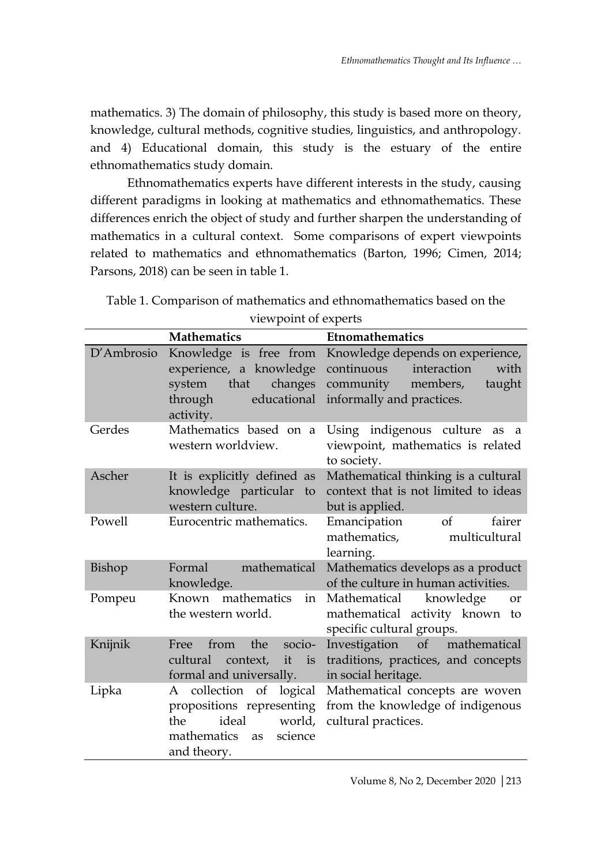mathematics. 3) The domain of philosophy, this study is based more on theory, knowledge, cultural methods, cognitive studies, linguistics, and anthropology. and 4) Educational domain, this study is the estuary of the entire ethnomathematics study domain.

Ethnomathematics experts have different interests in the study, causing different paradigms in looking at mathematics and ethnomathematics. These differences enrich the object of study and further sharpen the understanding of mathematics in a cultural context. Some comparisons of expert viewpoints related to mathematics and ethnomathematics (Barton, 1996; Cimen, 2014; Parsons, 2018) can be seen in table 1.

| viewpoint of experts |                                                                                                                                     |                                                                                                                                       |
|----------------------|-------------------------------------------------------------------------------------------------------------------------------------|---------------------------------------------------------------------------------------------------------------------------------------|
|                      | <b>Mathematics</b>                                                                                                                  | Etnomathematics                                                                                                                       |
| D'Ambrosio           | Knowledge is free from<br>experience, a knowledge<br>that<br>system<br>changes<br>educational<br>through<br>activity.               | Knowledge depends on experience,<br>interaction<br>continuous<br>with<br>members,<br>community<br>taught<br>informally and practices. |
| Gerdes               | Mathematics based on a<br>western worldview.                                                                                        | Using indigenous culture<br>as<br>- a<br>viewpoint, mathematics is related<br>to society.                                             |
| Ascher               | It is explicitly defined as<br>knowledge particular to<br>western culture.                                                          | Mathematical thinking is a cultural<br>context that is not limited to ideas<br>but is applied.                                        |
| Powell               | Eurocentric mathematics.                                                                                                            | of<br>fairer<br>Emancipation<br>mathematics,<br>multicultural<br>learning.                                                            |
| Bishop               | Formal<br>mathematical<br>knowledge.                                                                                                | Mathematics develops as a product<br>of the culture in human activities.                                                              |
| Pompeu               | Known mathematics<br>in<br>the western world.                                                                                       | Mathematical knowledge<br><b>or</b><br>mathematical activity known to<br>specific cultural groups.                                    |
| Knijnik              | socio-<br>the<br>Free<br>from<br>cultural<br>it<br>context,<br>is<br>formal and universally.                                        | Investigation of mathematical<br>traditions, practices, and concepts<br>in social heritage.                                           |
| Lipka                | collection of<br>logical<br>A<br>propositions representing<br>ideal<br>world,<br>the<br>mathematics<br>science<br>as<br>and theory. | Mathematical concepts are woven<br>from the knowledge of indigenous<br>cultural practices.                                            |

Table 1. Comparison of mathematics and ethnomathematics based on the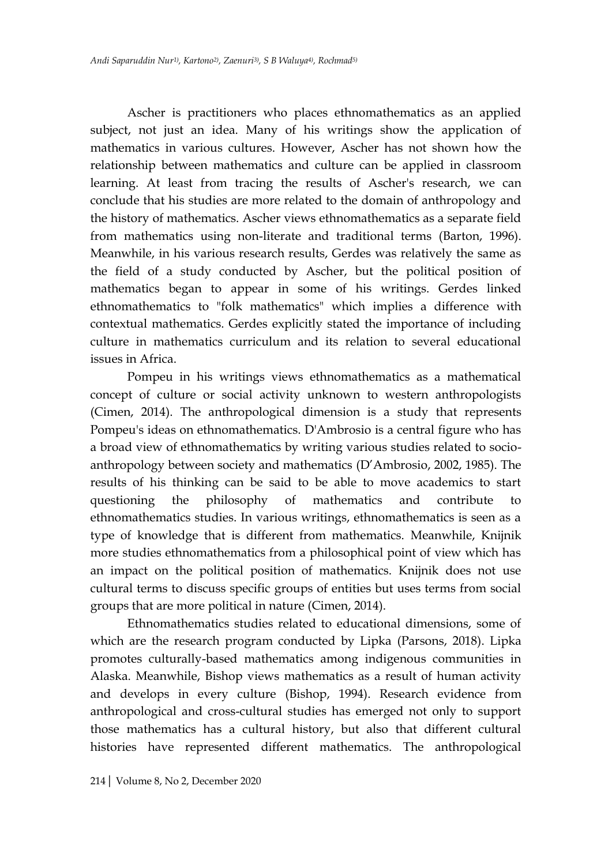Ascher is practitioners who places ethnomathematics as an applied subject, not just an idea. Many of his writings show the application of mathematics in various cultures. However, Ascher has not shown how the relationship between mathematics and culture can be applied in classroom learning. At least from tracing the results of Ascher's research, we can conclude that his studies are more related to the domain of anthropology and the history of mathematics. Ascher views ethnomathematics as a separate field from mathematics using non-literate and traditional terms (Barton, 1996). Meanwhile, in his various research results, Gerdes was relatively the same as the field of a study conducted by Ascher, but the political position of mathematics began to appear in some of his writings. Gerdes linked ethnomathematics to "folk mathematics" which implies a difference with contextual mathematics. Gerdes explicitly stated the importance of including culture in mathematics curriculum and its relation to several educational issues in Africa.

Pompeu in his writings views ethnomathematics as a mathematical concept of culture or social activity unknown to western anthropologists (Cimen, 2014). The anthropological dimension is a study that represents Pompeu's ideas on ethnomathematics. D'Ambrosio is a central figure who has a broad view of ethnomathematics by writing various studies related to socioanthropology between society and mathematics (D'Ambrosio, 2002, 1985). The results of his thinking can be said to be able to move academics to start questioning the philosophy of mathematics and contribute to ethnomathematics studies. In various writings, ethnomathematics is seen as a type of knowledge that is different from mathematics. Meanwhile, Knijnik more studies ethnomathematics from a philosophical point of view which has an impact on the political position of mathematics. Knijnik does not use cultural terms to discuss specific groups of entities but uses terms from social groups that are more political in nature (Cimen, 2014).

Ethnomathematics studies related to educational dimensions, some of which are the research program conducted by Lipka (Parsons, 2018). Lipka promotes culturally-based mathematics among indigenous communities in Alaska. Meanwhile, Bishop views mathematics as a result of human activity and develops in every culture (Bishop, 1994). Research evidence from anthropological and cross-cultural studies has emerged not only to support those mathematics has a cultural history, but also that different cultural histories have represented different mathematics. The anthropological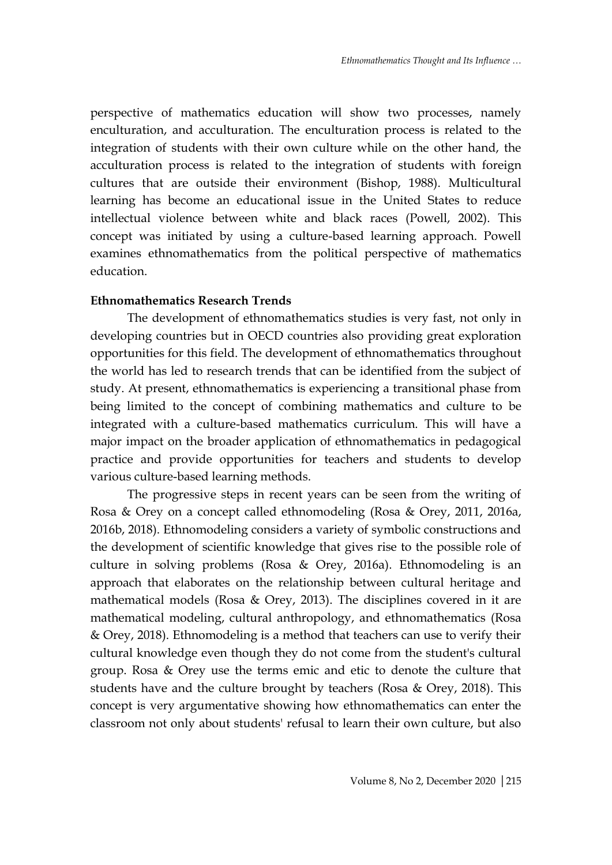perspective of mathematics education will show two processes, namely enculturation, and acculturation. The enculturation process is related to the integration of students with their own culture while on the other hand, the acculturation process is related to the integration of students with foreign cultures that are outside their environment (Bishop, 1988). Multicultural learning has become an educational issue in the United States to reduce intellectual violence between white and black races (Powell, 2002). This concept was initiated by using a culture-based learning approach. Powell examines ethnomathematics from the political perspective of mathematics education.

## **Ethnomathematics Research Trends**

The development of ethnomathematics studies is very fast, not only in developing countries but in OECD countries also providing great exploration opportunities for this field. The development of ethnomathematics throughout the world has led to research trends that can be identified from the subject of study. At present, ethnomathematics is experiencing a transitional phase from being limited to the concept of combining mathematics and culture to be integrated with a culture-based mathematics curriculum. This will have a major impact on the broader application of ethnomathematics in pedagogical practice and provide opportunities for teachers and students to develop various culture-based learning methods.

The progressive steps in recent years can be seen from the writing of Rosa & Orey on a concept called ethnomodeling (Rosa & Orey, 2011, 2016a, 2016b, 2018). Ethnomodeling considers a variety of symbolic constructions and the development of scientific knowledge that gives rise to the possible role of culture in solving problems (Rosa & Orey, 2016a). Ethnomodeling is an approach that elaborates on the relationship between cultural heritage and mathematical models (Rosa & Orey, 2013). The disciplines covered in it are mathematical modeling, cultural anthropology, and ethnomathematics (Rosa & Orey, 2018). Ethnomodeling is a method that teachers can use to verify their cultural knowledge even though they do not come from the student's cultural group. Rosa & Orey use the terms emic and etic to denote the culture that students have and the culture brought by teachers (Rosa & Orey, 2018). This concept is very argumentative showing how ethnomathematics can enter the classroom not only about students' refusal to learn their own culture, but also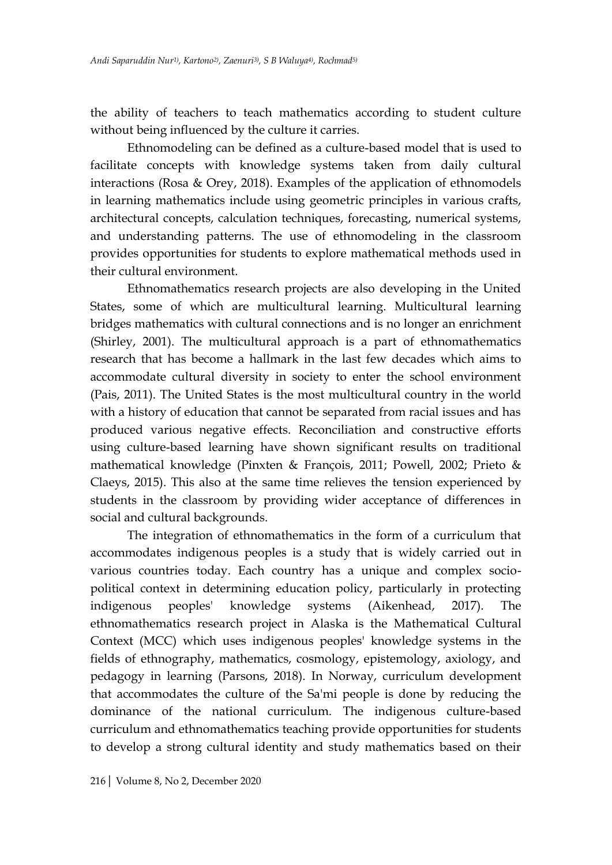the ability of teachers to teach mathematics according to student culture without being influenced by the culture it carries.

Ethnomodeling can be defined as a culture-based model that is used to facilitate concepts with knowledge systems taken from daily cultural interactions (Rosa & Orey, 2018). Examples of the application of ethnomodels in learning mathematics include using geometric principles in various crafts, architectural concepts, calculation techniques, forecasting, numerical systems, and understanding patterns. The use of ethnomodeling in the classroom provides opportunities for students to explore mathematical methods used in their cultural environment.

Ethnomathematics research projects are also developing in the United States, some of which are multicultural learning. Multicultural learning bridges mathematics with cultural connections and is no longer an enrichment (Shirley, 2001). The multicultural approach is a part of ethnomathematics research that has become a hallmark in the last few decades which aims to accommodate cultural diversity in society to enter the school environment (Pais, 2011). The United States is the most multicultural country in the world with a history of education that cannot be separated from racial issues and has produced various negative effects. Reconciliation and constructive efforts using culture-based learning have shown significant results on traditional mathematical knowledge (Pinxten & François, 2011; Powell, 2002; Prieto & Claeys, 2015). This also at the same time relieves the tension experienced by students in the classroom by providing wider acceptance of differences in social and cultural backgrounds.

The integration of ethnomathematics in the form of a curriculum that accommodates indigenous peoples is a study that is widely carried out in various countries today. Each country has a unique and complex sociopolitical context in determining education policy, particularly in protecting indigenous peoples' knowledge systems (Aikenhead, 2017). The ethnomathematics research project in Alaska is the Mathematical Cultural Context (MCC) which uses indigenous peoples' knowledge systems in the fields of ethnography, mathematics, cosmology, epistemology, axiology, and pedagogy in learning (Parsons, 2018). In Norway, curriculum development that accommodates the culture of the Sa'mi people is done by reducing the dominance of the national curriculum. The indigenous culture-based curriculum and ethnomathematics teaching provide opportunities for students to develop a strong cultural identity and study mathematics based on their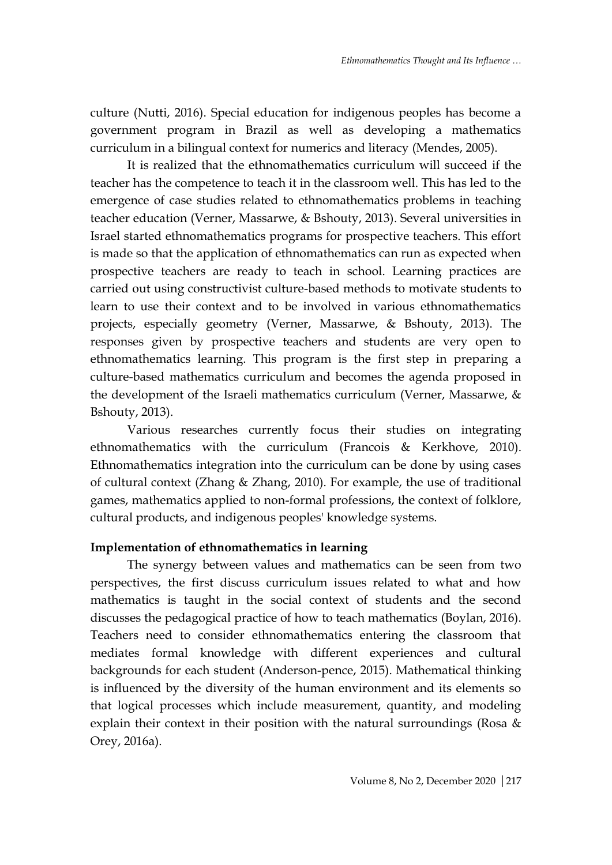culture (Nutti, 2016). Special education for indigenous peoples has become a government program in Brazil as well as developing a mathematics curriculum in a bilingual context for numerics and literacy (Mendes, 2005).

It is realized that the ethnomathematics curriculum will succeed if the teacher has the competence to teach it in the classroom well. This has led to the emergence of case studies related to ethnomathematics problems in teaching teacher education (Verner, Massarwe, & Bshouty, 2013). Several universities in Israel started ethnomathematics programs for prospective teachers. This effort is made so that the application of ethnomathematics can run as expected when prospective teachers are ready to teach in school. Learning practices are carried out using constructivist culture-based methods to motivate students to learn to use their context and to be involved in various ethnomathematics projects, especially geometry (Verner, Massarwe, & Bshouty, 2013). The responses given by prospective teachers and students are very open to ethnomathematics learning. This program is the first step in preparing a culture-based mathematics curriculum and becomes the agenda proposed in the development of the Israeli mathematics curriculum (Verner, Massarwe, & Bshouty, 2013).

Various researches currently focus their studies on integrating ethnomathematics with the curriculum (Francois & Kerkhove, 2010). Ethnomathematics integration into the curriculum can be done by using cases of cultural context (Zhang & Zhang, 2010). For example, the use of traditional games, mathematics applied to non-formal professions, the context of folklore, cultural products, and indigenous peoples' knowledge systems.

# **Implementation of ethnomathematics in learning**

The synergy between values and mathematics can be seen from two perspectives, the first discuss curriculum issues related to what and how mathematics is taught in the social context of students and the second discusses the pedagogical practice of how to teach mathematics (Boylan, 2016). Teachers need to consider ethnomathematics entering the classroom that mediates formal knowledge with different experiences and cultural backgrounds for each student (Anderson-pence, 2015). Mathematical thinking is influenced by the diversity of the human environment and its elements so that logical processes which include measurement, quantity, and modeling explain their context in their position with the natural surroundings (Rosa & Orey, 2016a).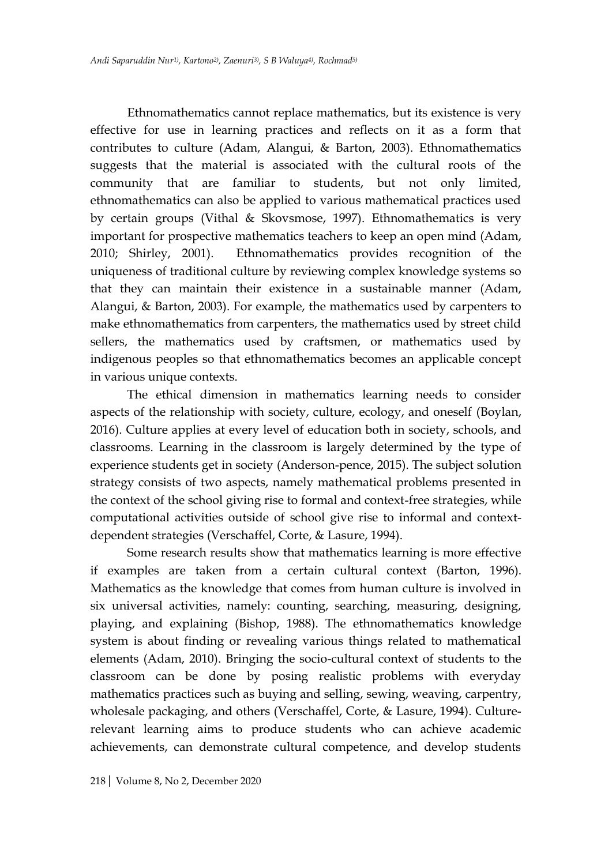Ethnomathematics cannot replace mathematics, but its existence is very effective for use in learning practices and reflects on it as a form that contributes to culture (Adam, Alangui, & Barton, 2003). Ethnomathematics suggests that the material is associated with the cultural roots of the community that are familiar to students, but not only limited, ethnomathematics can also be applied to various mathematical practices used by certain groups (Vithal & Skovsmose, 1997). Ethnomathematics is very important for prospective mathematics teachers to keep an open mind (Adam, 2010; Shirley, 2001). Ethnomathematics provides recognition of the uniqueness of traditional culture by reviewing complex knowledge systems so that they can maintain their existence in a sustainable manner (Adam, Alangui, & Barton, 2003). For example, the mathematics used by carpenters to make ethnomathematics from carpenters, the mathematics used by street child sellers, the mathematics used by craftsmen, or mathematics used by indigenous peoples so that ethnomathematics becomes an applicable concept in various unique contexts.

The ethical dimension in mathematics learning needs to consider aspects of the relationship with society, culture, ecology, and oneself (Boylan, 2016). Culture applies at every level of education both in society, schools, and classrooms. Learning in the classroom is largely determined by the type of experience students get in society (Anderson-pence, 2015). The subject solution strategy consists of two aspects, namely mathematical problems presented in the context of the school giving rise to formal and context-free strategies, while computational activities outside of school give rise to informal and contextdependent strategies (Verschaffel, Corte, & Lasure, 1994).

Some research results show that mathematics learning is more effective if examples are taken from a certain cultural context (Barton, 1996). Mathematics as the knowledge that comes from human culture is involved in six universal activities, namely: counting, searching, measuring, designing, playing, and explaining (Bishop, 1988). The ethnomathematics knowledge system is about finding or revealing various things related to mathematical elements (Adam, 2010). Bringing the socio-cultural context of students to the classroom can be done by posing realistic problems with everyday mathematics practices such as buying and selling, sewing, weaving, carpentry, wholesale packaging, and others (Verschaffel, Corte, & Lasure, 1994). Culturerelevant learning aims to produce students who can achieve academic achievements, can demonstrate cultural competence, and develop students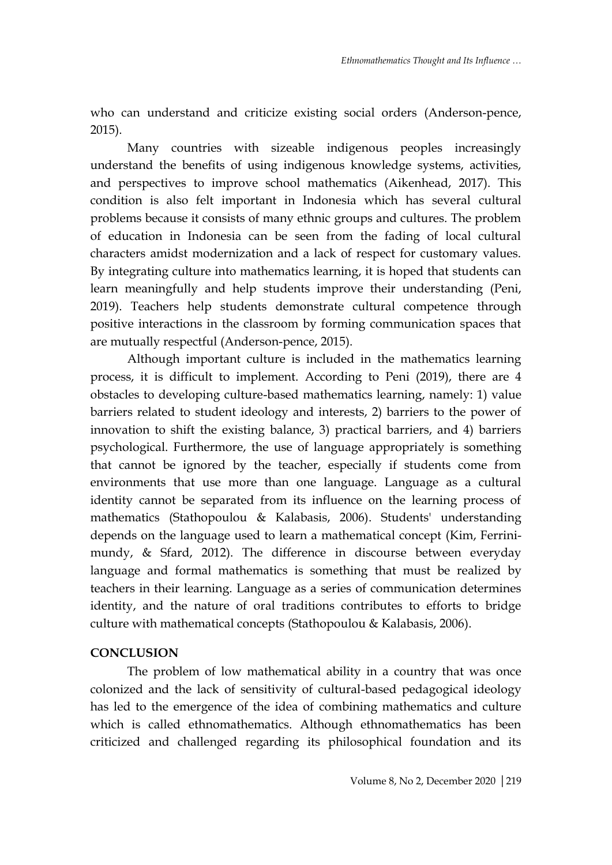who can understand and criticize existing social orders (Anderson-pence, 2015).

Many countries with sizeable indigenous peoples increasingly understand the benefits of using indigenous knowledge systems, activities, and perspectives to improve school mathematics (Aikenhead, 2017). This condition is also felt important in Indonesia which has several cultural problems because it consists of many ethnic groups and cultures. The problem of education in Indonesia can be seen from the fading of local cultural characters amidst modernization and a lack of respect for customary values. By integrating culture into mathematics learning, it is hoped that students can learn meaningfully and help students improve their understanding (Peni, 2019). Teachers help students demonstrate cultural competence through positive interactions in the classroom by forming communication spaces that are mutually respectful (Anderson-pence, 2015).

Although important culture is included in the mathematics learning process, it is difficult to implement. According to Peni (2019), there are 4 obstacles to developing culture-based mathematics learning, namely: 1) value barriers related to student ideology and interests, 2) barriers to the power of innovation to shift the existing balance, 3) practical barriers, and 4) barriers psychological. Furthermore, the use of language appropriately is something that cannot be ignored by the teacher, especially if students come from environments that use more than one language. Language as a cultural identity cannot be separated from its influence on the learning process of mathematics (Stathopoulou & Kalabasis, 2006). Students' understanding depends on the language used to learn a mathematical concept (Kim, Ferrinimundy, & Sfard, 2012). The difference in discourse between everyday language and formal mathematics is something that must be realized by teachers in their learning. Language as a series of communication determines identity, and the nature of oral traditions contributes to efforts to bridge culture with mathematical concepts (Stathopoulou & Kalabasis, 2006).

# **CONCLUSION**

The problem of low mathematical ability in a country that was once colonized and the lack of sensitivity of cultural-based pedagogical ideology has led to the emergence of the idea of combining mathematics and culture which is called ethnomathematics. Although ethnomathematics has been criticized and challenged regarding its philosophical foundation and its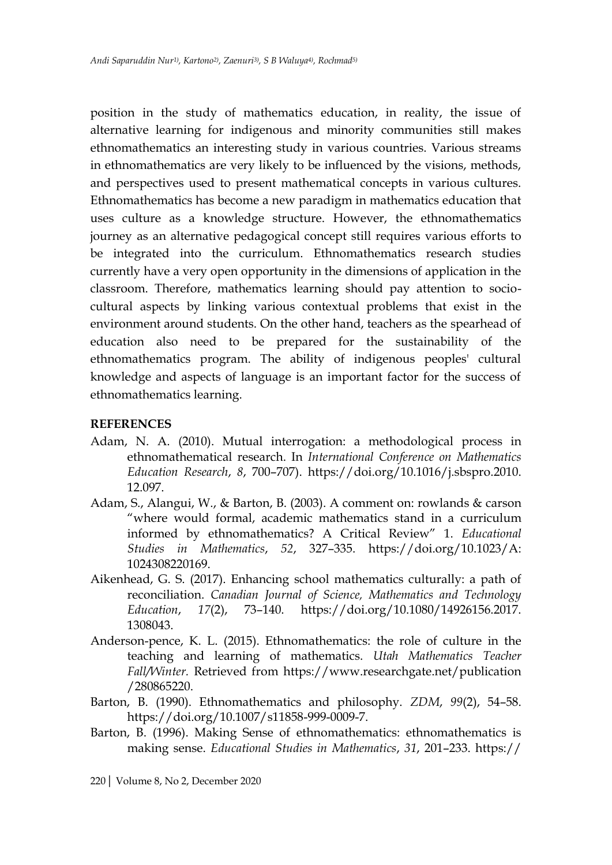position in the study of mathematics education, in reality, the issue of alternative learning for indigenous and minority communities still makes ethnomathematics an interesting study in various countries. Various streams in ethnomathematics are very likely to be influenced by the visions, methods, and perspectives used to present mathematical concepts in various cultures. Ethnomathematics has become a new paradigm in mathematics education that uses culture as a knowledge structure. However, the ethnomathematics journey as an alternative pedagogical concept still requires various efforts to be integrated into the curriculum. Ethnomathematics research studies currently have a very open opportunity in the dimensions of application in the classroom. Therefore, mathematics learning should pay attention to sociocultural aspects by linking various contextual problems that exist in the environment around students. On the other hand, teachers as the spearhead of education also need to be prepared for the sustainability of the ethnomathematics program. The ability of indigenous peoples' cultural knowledge and aspects of language is an important factor for the success of ethnomathematics learning.

### **REFERENCES**

- Adam, N. A. (2010). Mutual interrogation: a methodological process in ethnomathematical research. In *International Conference on Mathematics Education Research*, *8*, 700–707). https://doi.org/10.1016/j.sbspro.2010. 12.097.
- Adam, S., Alangui, W., & Barton, B. (2003). A comment on: rowlands & carson "where would formal, academic mathematics stand in a curriculum informed by ethnomathematics? A Critical Review" 1. *Educational Studies in Mathematics*, *52*, 327–335. https://doi.org/10.1023/A: 1024308220169.
- Aikenhead, G. S. (2017). Enhancing school mathematics culturally: a path of reconciliation. *Canadian Journal of Science, Mathematics and Technology Education*, *17*(2), 73–140. https://doi.org/10.1080/14926156.2017. 1308043.
- Anderson-pence, K. L. (2015). Ethnomathematics: the role of culture in the teaching and learning of mathematics. *Utah Mathematics Teacher Fall/Winter.* Retrieved from https://www.researchgate.net/publication /280865220.
- Barton, B. (1990). Ethnomathematics and philosophy. *ZDM*, *99*(2), 54–58. https://doi.org/10.1007/s11858-999-0009-7.
- Barton, B. (1996). Making Sense of ethnomathematics: ethnomathematics is making sense. *Educational Studies in Mathematics*, *31*, 201–233. https://

220| Volume 8, No 2, December 2020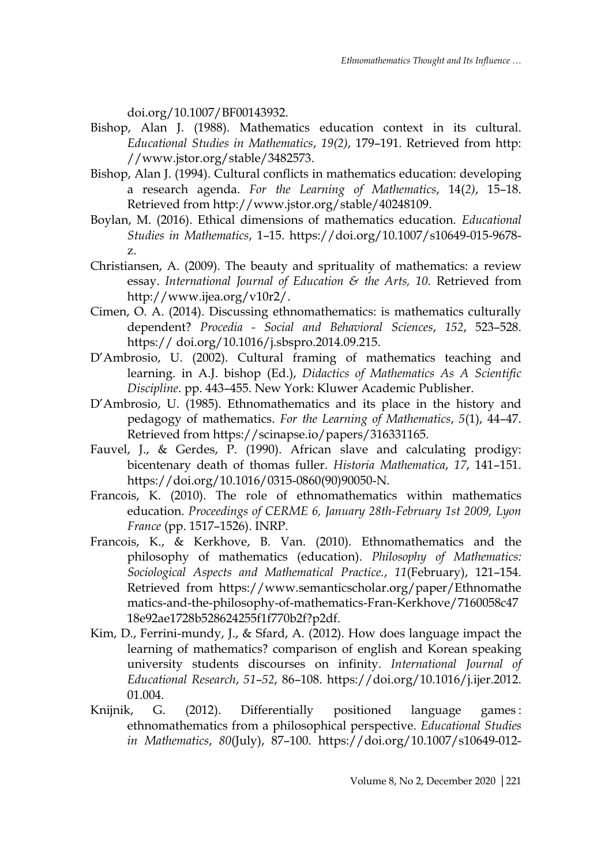doi.org/10.1007/BF00143932.

- Bishop, Alan J. (1988). Mathematics education context in its cultural. *Educational Studies in Mathematics*, *19(2)*, 179–191. Retrieved from http: //www.jstor.org/stable/3482573.
- Bishop, Alan J. (1994). Cultural conflicts in mathematics education: developing a research agenda. *For the Learning of Mathematics*, 14(*2)*, 15–18. Retrieved from http://www.jstor.org/stable/40248109.
- Boylan, M. (2016). Ethical dimensions of mathematics education. *Educational Studies in Mathematics*, 1–15. https://doi.org/10.1007/s10649-015-9678 z.
- Christiansen, A. (2009). The beauty and sprituality of mathematics: a review essay. *International Journal of Education & the Arts*, 10. Retrieved from http://www.ijea.org/v10r2/.
- Cimen, O. A. (2014). Discussing ethnomathematics: is mathematics culturally dependent? *Procedia - Social and Behavioral Sciences*, *152*, 523–528. https:// doi.org/10.1016/j.sbspro.2014.09.215.
- D'Ambrosio, U. (2002). Cultural framing of mathematics teaching and learning. in A.J. bishop (Ed.), *Didactics of Mathematics As A Scientific Discipline*. pp. 443–455. New York: Kluwer Academic Publisher.
- D'Ambrosio, U. (1985). Ethnomathematics and its place in the history and pedagogy of mathematics. *For the Learning of Mathematics*, *5*(1), 44–47. Retrieved from https://scinapse.io/papers/316331165.
- Fauvel, J., & Gerdes, P. (1990). African slave and calculating prodigy: bicentenary death of thomas fuller. *Historia Mathematica*, *17*, 141–151. https://doi.org/10.1016/0315-0860(90)90050-N.
- Francois, K. (2010). The role of ethnomathematics within mathematics education. *Proceedings of CERME 6, January 28th-February 1st 2009, Lyon France* (pp. 1517–1526). INRP.
- Francois, K., & Kerkhove, B. Van. (2010). Ethnomathematics and the philosophy of mathematics (education). *Philosophy of Mathematics: Sociological Aspects and Mathematical Practice.*, *11*(February), 121–154. Retrieved from https://www.semanticscholar.org/paper/Ethnomathe matics-and-the-philosophy-of-mathematics-Fran-Kerkhove/7160058c47 18e92ae1728b528624255f1f770b2f?p2df.
- Kim, D., Ferrini-mundy, J., & Sfard, A. (2012). How does language impact the learning of mathematics? comparison of english and Korean speaking university students discourses on infinity. *International Journal of Educational Research*, *51*–*52*, 86–108. https://doi.org/10.1016/j.ijer.2012. 01.004.
- Knijnik, G. (2012). Differentially positioned language games: ethnomathematics from a philosophical perspective. *Educational Studies in Mathematics*, *80*(July), 87–100. https://doi.org/10.1007/s10649-012-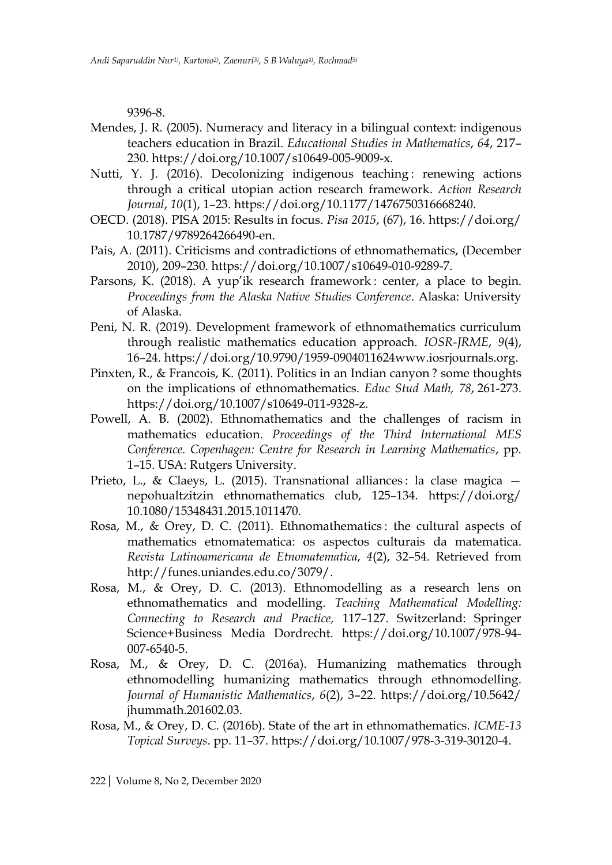9396-8.

- Mendes, J. R. (2005). Numeracy and literacy in a bilingual context: indigenous teachers education in Brazil. *Educational Studies in Mathematics*, *64*, 217– 230. https://doi.org/10.1007/s10649-005-9009-x.
- Nutti, Y. J. (2016). Decolonizing indigenous teaching: renewing actions through a critical utopian action research framework. *Action Research Journal*, *10*(1), 1–23. https://doi.org/10.1177/1476750316668240.
- OECD. (2018). PISA 2015: Results in focus. *Pisa 2015*, (67), 16. https://doi.org/ 10.1787/9789264266490-en.
- Pais, A. (2011). Criticisms and contradictions of ethnomathematics, (December 2010), 209–230. https://doi.org/10.1007/s10649-010-9289-7.
- Parsons, K. (2018). A yup'ik research framework : center, a place to begin. *Proceedings from the Alaska Native Studies Conference*. Alaska: University of Alaska.
- Peni, N. R. (2019). Development framework of ethnomathematics curriculum through realistic mathematics education approach. *IOSR-JRME*, *9*(4), 16–24. https://doi.org/10.9790/1959-0904011624www.iosrjournals.org.
- Pinxten, R., & Francois, K. (2011). Politics in an Indian canyon ? some thoughts on the implications of ethnomathematics. *Educ Stud Math, 78*, 261-273. https://doi.org/10.1007/s10649-011-9328-z.
- Powell, A. B. (2002). Ethnomathematics and the challenges of racism in mathematics education. *Proceedings of the Third International MES Conference. Copenhagen: Centre for Research in Learning Mathematics*, pp. 1–15. USA: Rutgers University.
- Prieto, L., & Claeys, L. (2015). Transnational alliances : la clase magica nepohualtzitzin ethnomathematics club, 125–134. https://doi.org/ 10.1080/15348431.2015.1011470.
- Rosa, M., & Orey, D. C. (2011). Ethnomathematics : the cultural aspects of mathematics etnomatematica: os aspectos culturais da matematica. *Revista Latinoamericana de Etnomatematica*, *4*(2), 32–54. Retrieved from http://funes.uniandes.edu.co/3079/.
- Rosa, M., & Orey, D. C. (2013). Ethnomodelling as a research lens on ethnomathematics and modelling. *Teaching Mathematical Modelling: Connecting to Research and Practice,* 117–127. Switzerland: Springer Science+Business Media Dordrecht. https://doi.org/10.1007/978-94- 007-6540-5.
- Rosa, M., & Orey, D. C. (2016a). Humanizing mathematics through ethnomodelling humanizing mathematics through ethnomodelling. *Journal of Humanistic Mathematics*, *6*(2), 3–22. https://doi.org/10.5642/ jhummath.201602.03.
- Rosa, M., & Orey, D. C. (2016b). State of the art in ethnomathematics. *ICME-13 Topical Surveys*. pp. 11–37. https://doi.org/10.1007/978-3-319-30120-4.

222| Volume 8, No 2, December 2020